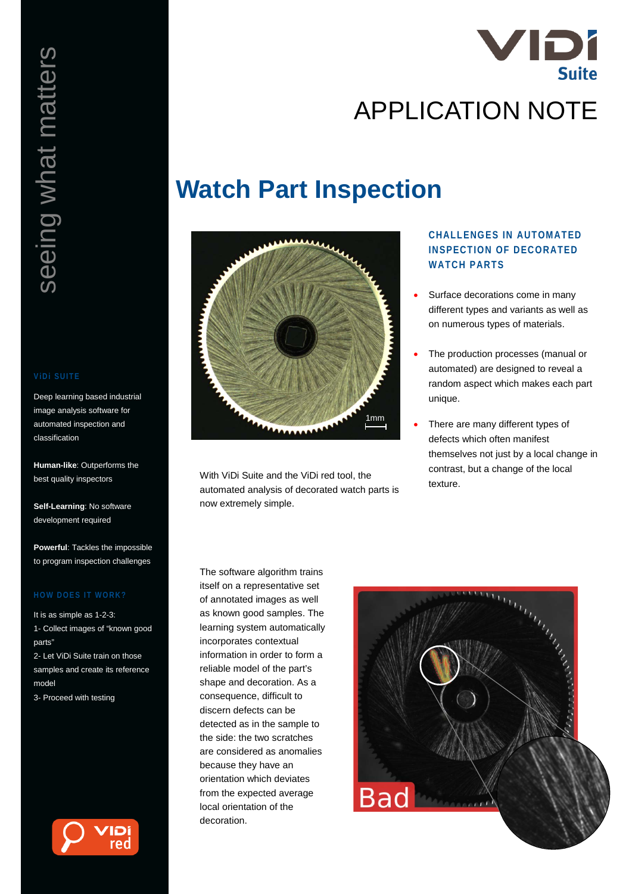

# **Watch Part Inspection**



With ViDi Suite and the ViDi red tool, the automated analysis of decorated watch parts is now extremely simple.

# **CHALLENGES IN AUTOMATED INSPECTION OF DECORATED WATCH PARTS**

- Surface decorations come in many different types and variants as well as on numerous types of materials.
- The production processes (manual or automated) are designed to reveal a random aspect which makes each part unique.
- There are many different types of defects which often manifest themselves not just by a local change in contrast, but a change of the local texture.

The software algorithm trains itself on a representative set of annotated images as well as known good samples. The learning system automatically incorporates contextual information in order to form a reliable model of the part's shape and decoration. As a consequence, difficult to discern defects can be detected as in the sample to the side: the two scratches are considered as anomalies because they have an orientation which deviates from the expected average local orientation of the decoration.



Deep learning based industrial image analysis software for automated inspection and classification

**Human-like**: Outperforms the best quality inspectors

**Self-Learning**: No software development required

**Powerful**: Tackles the impossible to program inspection challenges

It is as simple as 1-2-3: 1- Collect images of "known good parts"

2- Let ViDi Suite train on those samples and create its reference model

3- Proceed with testing